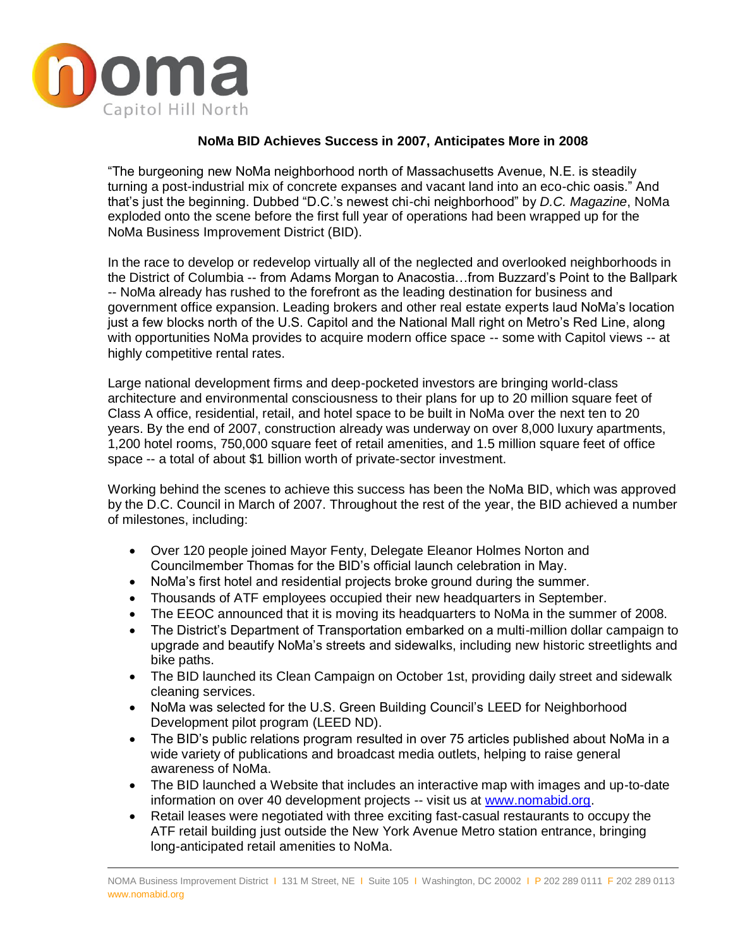

## **NoMa BID Achieves Success in 2007, Anticipates More in 2008**

"The burgeoning new NoMa neighborhood north of Massachusetts Avenue, N.E. is steadily turning a post-industrial mix of concrete expanses and vacant land into an eco-chic oasis." And that's just the beginning. Dubbed "D.C.'s newest chi-chi neighborhood" by *D.C. Magazine*, NoMa exploded onto the scene before the first full year of operations had been wrapped up for the NoMa Business Improvement District (BID).

In the race to develop or redevelop virtually all of the neglected and overlooked neighborhoods in the District of Columbia -- from Adams Morgan to Anacostia…from Buzzard's Point to the Ballpark -- NoMa already has rushed to the forefront as the leading destination for business and government office expansion. Leading brokers and other real estate experts laud NoMa's location just a few blocks north of the U.S. Capitol and the National Mall right on Metro's Red Line, along with opportunities NoMa provides to acquire modern office space -- some with Capitol views -- at highly competitive rental rates.

Large national development firms and deep-pocketed investors are bringing world-class architecture and environmental consciousness to their plans for up to 20 million square feet of Class A office, residential, retail, and hotel space to be built in NoMa over the next ten to 20 years. By the end of 2007, construction already was underway on over 8,000 luxury apartments, 1,200 hotel rooms, 750,000 square feet of retail amenities, and 1.5 million square feet of office space -- a total of about \$1 billion worth of private-sector investment.

Working behind the scenes to achieve this success has been the NoMa BID, which was approved by the D.C. Council in March of 2007. Throughout the rest of the year, the BID achieved a number of milestones, including:

- Over 120 people joined Mayor Fenty, Delegate Eleanor Holmes Norton and Councilmember Thomas for the BID's official launch celebration in May.
- NoMa's first hotel and residential projects broke ground during the summer.
- Thousands of ATF employees occupied their new headquarters in September.
- The EEOC announced that it is moving its headquarters to NoMa in the summer of 2008.
- The District's Department of Transportation embarked on a multi-million dollar campaign to upgrade and beautify NoMa's streets and sidewalks, including new historic streetlights and bike paths.
- The BID launched its Clean Campaign on October 1st, providing daily street and sidewalk cleaning services.
- NoMa was selected for the U.S. Green Building Council's LEED for Neighborhood Development pilot program (LEED ND).
- The BID's public relations program resulted in over 75 articles published about NoMa in a wide variety of publications and broadcast media outlets, helping to raise general awareness of NoMa.
- The BID launched a Website that includes an interactive map with images and up-to-date information on over 40 development projects -- visit us at [www.nomabid.org.](http://www.nomabid.org/)
- Retail leases were negotiated with three exciting fast-casual restaurants to occupy the ATF retail building just outside the New York Avenue Metro station entrance, bringing long-anticipated retail amenities to NoMa.